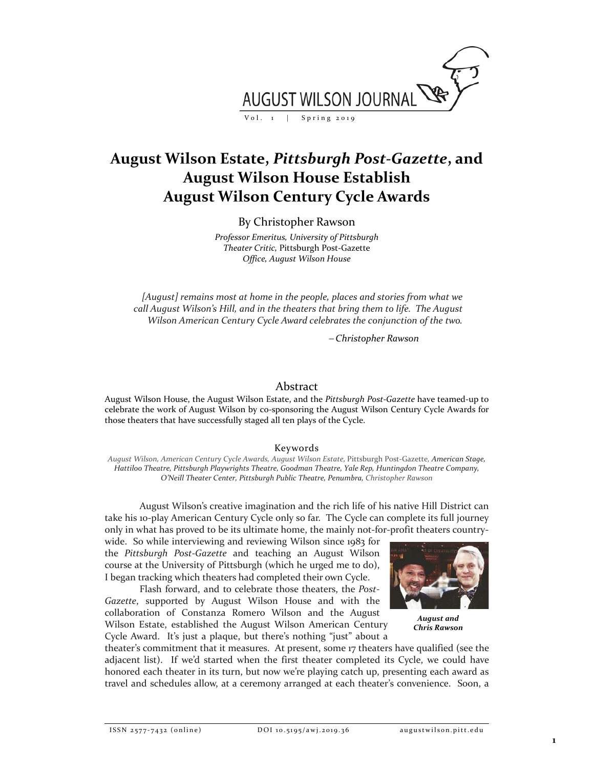

# **August Wilson Estate,** *Pittsburgh Post-Gazette***, and August Wilson House Establish August Wilson Century Cycle Awards**

## By Christopher Rawson

*Professor Emeritus, University of Pittsburgh Theater Critic,* Pittsburgh Post-Gazette *Office, August Wilson House*

*[August] remains most at home in the people, places and stories from what we call August Wilson's Hill, and in the theaters that bring them to life. The August Wilson American Century Cycle Award celebrates the conjunction of the two.*

<sup>−</sup> *Christopher Rawson*

### Abstract

August Wilson House, the August Wilson Estate, and the *Pittsburgh Post-Gazette* have teamed-up to celebrate the work of August Wilson by co-sponsoring the August Wilson Century Cycle Awards for those theaters that have successfully staged all ten plays of the Cycle.

### Keywords

*August Wilson, American Century Cycle Awards, August Wilson Estate,* Pittsburgh Post-Gazette*, American Stage, Hattiloo Theatre, Pittsburgh Playwrights Theatre, Goodman Theatre, Yale Rep, Huntingdon Theatre Company, O'Neill Theater Center, Pittsburgh Public Theatre, Penumbra, Christopher Rawson*

August Wilson's creative imagination and the rich life of his native Hill District can take his 10-play American Century Cycle only so far. The Cycle can complete its full journey only in what has proved to be its ultimate home, the mainly not-for-profit theaters country-

wide. So while interviewing and reviewing Wilson since 1983 for the *Pittsburgh Post-Gazette* and teaching an August Wilson course at the University of Pittsburgh (which he urged me to do), I began tracking which theaters had completed their own Cycle.

Flash forward, and to celebrate those theaters, the *Post-Gazette*, supported by August Wilson House and with the collaboration of Constanza Romero Wilson and the August Wilson Estate, established the August Wilson American Century Cycle Award. It's just a plaque, but there's nothing "just" about a



*August and Chris Rawson*

theater's commitment that it measures. At present, some 17 theaters have qualified (see the adjacent list). If we'd started when the first theater completed its Cycle, we could have honored each theater in its turn, but now we're playing catch up, presenting each award as travel and schedules allow, at a ceremony arranged at each theater's convenience. Soon, a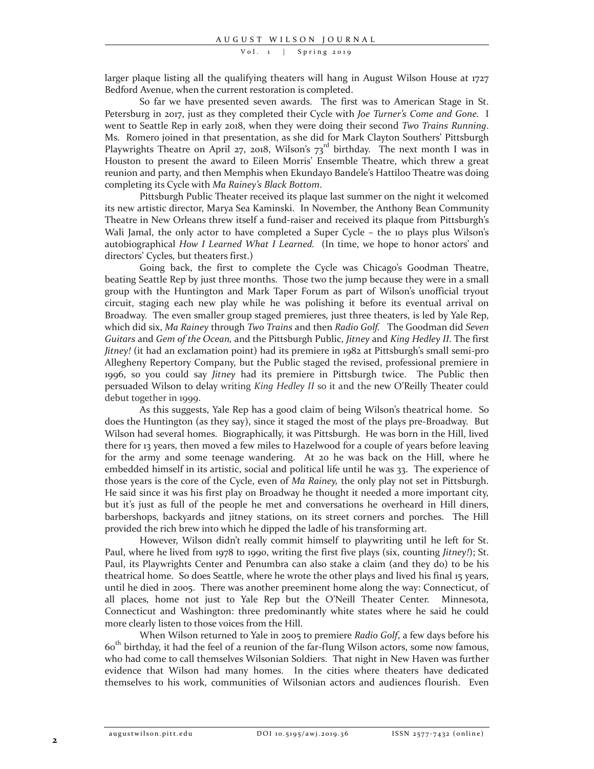Vol. 1 | Spring 2019

larger plaque listing all the qualifying theaters will hang in August Wilson House at 1727 Bedford Avenue, when the current restoration is completed.

So far we have presented seven awards. The first was to American Stage in St. Petersburg in 2017, just as they completed their Cycle with *Joe Turner's Come and Gone.* I went to Seattle Rep in early 2018, when they were doing their second *Two Trains Running*. Ms. Romero joined in that presentation, as she did for Mark Clayton Southers' Pittsburgh Playwrights Theatre on April 27, 2018, Wilson's  $73<sup>rd</sup>$  birthday. The next month I was in Houston to present the award to Eileen Morris' Ensemble Theatre, which threw a great reunion and party, and then Memphis when Ekundayo Bandele's Hattiloo Theatre was doing completing its Cycle with *Ma Rainey's Black Bottom*.

Pittsburgh Public Theater received its plaque last summer on the night it welcomed its new artistic director, Marya Sea Kaminski. In November, the Anthony Bean Community Theatre in New Orleans threw itself a fund-raiser and received its plaque from Pittsburgh's Wali Jamal, the only actor to have completed a Super Cycle – the 10 plays plus Wilson's autobiographical *How I Learned What I Learned.* (In time, we hope to honor actors' and directors' Cycles, but theaters first.)

Going back, the first to complete the Cycle was Chicago's Goodman Theatre, beating Seattle Rep by just three months. Those two the jump because they were in a small group with the Huntington and Mark Taper Forum as part of Wilson's unofficial tryout circuit, staging each new play while he was polishing it before its eventual arrival on Broadway. The even smaller group staged premieres, just three theaters, is led by Yale Rep, which did six, *Ma Rainey* through *Two Trains* and then *Radio Golf.* The Goodman did *Seven Guitars* and *Gem of the Ocean,* and the Pittsburgh Public, *Jitney* and *King Hedley II*. The first *Jitney!* (it had an exclamation point) had its premiere in 1982 at Pittsburgh's small semi-pro Allegheny Repertory Company, but the Public staged the revised, professional premiere in 1996, so you could say *Jitney* had its premiere in Pittsburgh twice. The Public then persuaded Wilson to delay writing *King Hedley II* so it and the new O'Reilly Theater could debut together in 1999.

As this suggests, Yale Rep has a good claim of being Wilson's theatrical home. So does the Huntington (as they say), since it staged the most of the plays pre-Broadway. But Wilson had several homes. Biographically, it was Pittsburgh. He was born in the Hill, lived there for 13 years, then moved a few miles to Hazelwood for a couple of years before leaving for the army and some teenage wandering. At 20 he was back on the Hill, where he embedded himself in its artistic, social and political life until he was 33. The experience of those years is the core of the Cycle, even of *Ma Rainey,* the only play not set in Pittsburgh. He said since it was his first play on Broadway he thought it needed a more important city, but it's just as full of the people he met and conversations he overheard in Hill diners, barbershops, backyards and jitney stations, on its street corners and porches. The Hill provided the rich brew into which he dipped the ladle of his transforming art.

However, Wilson didn't really commit himself to playwriting until he left for St. Paul, where he lived from 1978 to 1990, writing the first five plays (six, counting *Jitney!*); St. Paul, its Playwrights Center and Penumbra can also stake a claim (and they do) to be his theatrical home. So does Seattle, where he wrote the other plays and lived his final 15 years, until he died in 2005. There was another preeminent home along the way: Connecticut, of all places, home not just to Yale Rep but the O'Neill Theater Center. Minnesota, Connecticut and Washington: three predominantly white states where he said he could more clearly listen to those voices from the Hill.

When Wilson returned to Yale in 2005 to premiere *Radio Golf*, a few days before his 60th birthday, it had the feel of a reunion of the far-flung Wilson actors, some now famous, who had come to call themselves Wilsonian Soldiers. That night in New Haven was further evidence that Wilson had many homes. In the cities where theaters have dedicated themselves to his work, communities of Wilsonian actors and audiences flourish. Even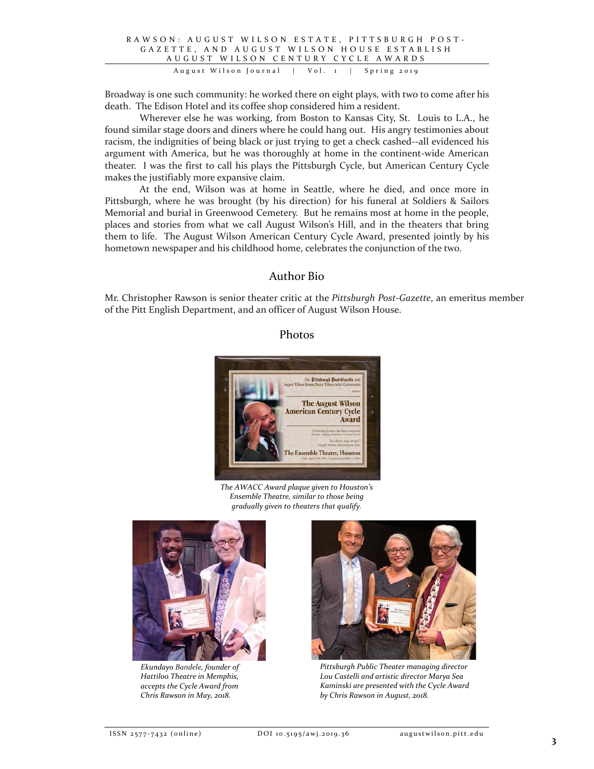#### RAWSON : AUGUST WILSON ESTATE , PITTSBURGH POST - GAZETTE, AND AUGUST WILSON HOUSE ESTABLISH AUGUST WILSON CENTURY CYCLE AWARDS August Wilson Journal | Vol . 1 | Spring 2019

Broadway is one such community: he worked there on eight plays, with two to come after his death. The Edison Hotel and its coffee shop considered him a resident.

Wherever else he was working, from Boston to Kansas City, St. Louis to L.A., he found similar stage doors and diners where he could hang out. His angry testimonies about racism, the indignities of being black or just trying to get a check cashed--all evidenced his argument with America, but he was thoroughly at home in the continent-wide American theater. I was the first to call his plays the Pittsburgh Cycle, but American Century Cycle makes the justifiably more expansive claim.

At the end, Wilson was at home in Seattle, where he died, and once more in Pittsburgh, where he was brought (by his direction) for his funeral at Soldiers & Sailors Memorial and burial in Greenwood Cemetery. But he remains most at home in the people, places and stories from what we call August Wilson's Hill, and in the theaters that bring them to life. The August Wilson American Century Cycle Award, presented jointly by his hometown newspaper and his childhood home, celebrates the conjunction of the two.

## Author Bio

Mr. Christopher Rawson is senior theater critic at the *Pittsburgh Post-Gazette*, an emeritus member of the Pitt English Department, and an officer of August Wilson House.

## Photos



*The AWACC Award plaque given to Houston's Ensemble Theatre, similar to those being gradually given to theaters that qualify.*



*Ekundayo Bandele, founder of Hattiloo Theatre in Memphis, accepts the Cycle Award from Chris Rawson in May, 2018.*



*Pittsburgh Public Theater managing director Lou Castelli and artistic director Marya Sea Kaminski are presented with the Cycle Award by Chris Rawson in August, 2018.*